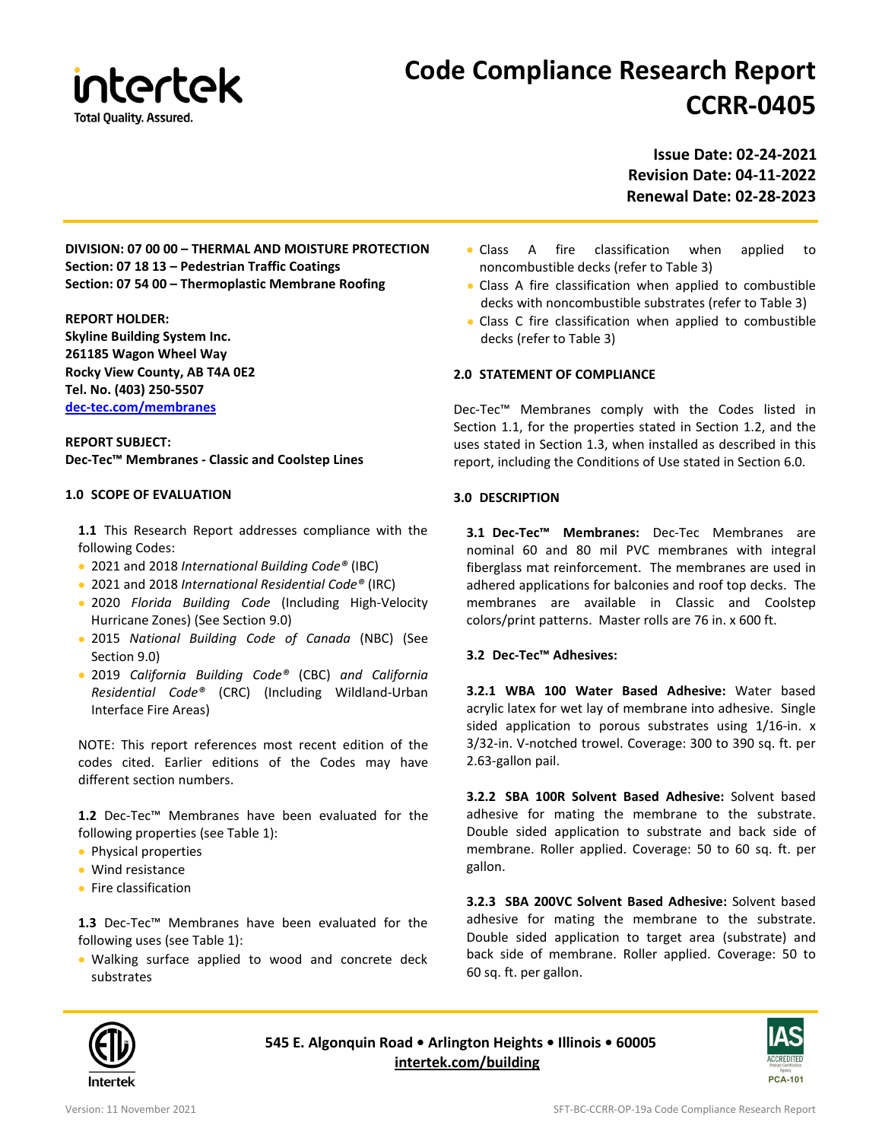

# **Code Compliance Research Report CCRR-0405**

**Issue Date: 02-24-2021 Revision Date: 04-11-2022 Renewal Date: 02-28-2023**

**DIVISION: 07 00 00 – THERMAL AND MOISTURE PROTECTION Section: 07 18 13 – Pedestrian Traffic Coatings Section: 07 54 00 – Thermoplastic Membrane Roofing**

**REPORT HOLDER: Skyline Building System Inc. 261185 Wagon Wheel Way Rocky View County, AB T4A 0E2 Tel. No. (403) 250-5507 [dec-tec.com/membranes](https://dec-tec.com/membranes/)**

**REPORT SUBJECT: Dec-Tec™ Membranes - Classic and Coolstep Lines**

## **1.0 SCOPE OF EVALUATION**

**1.1** This Research Report addresses compliance with the following Codes:

- 2021 and 2018 *International Building Code®* (IBC)
- 2021 and 2018 *International Residential Code®* (IRC)
- 2020 *Florida Building Code* (Including High-Velocity Hurricane Zones) (See Section 9.0)
- 2015 *National Building Code of Canada* (NBC) (See Section 9.0)
- 2019 *California Building Code®* (CBC) *and California Residential Code®* (CRC) (Including Wildland-Urban Interface Fire Areas)

NOTE: This report references most recent edition of the codes cited. Earlier editions of the Codes may have different section numbers.

**1.2** Dec-Tec™ Membranes have been evaluated for the following properties (see Table 1):

- Physical properties
- Wind resistance
- Fire classification

**1.3** Dec-Tec™ Membranes have been evaluated for the following uses (see Table 1):

• Walking surface applied to wood and concrete deck substrates

- Class A fire classification when applied to noncombustible decks (refer to Table 3)
- Class A fire classification when applied to combustible decks with noncombustible substrates (refer to Table 3)
- Class C fire classification when applied to combustible decks (refer to Table 3)

## **2.0 STATEMENT OF COMPLIANCE**

Dec-Tec™ Membranes comply with the Codes listed in Section 1.1, for the properties stated in Section 1.2, and the uses stated in Section 1.3, when installed as described in this report, including the Conditions of Use stated in Section 6.0.

## **3.0 DESCRIPTION**

**3.1 Dec-Tec™ Membranes:** Dec-Tec Membranes are nominal 60 and 80 mil PVC membranes with integral fiberglass mat reinforcement. The membranes are used in adhered applications for balconies and roof top decks. The membranes are available in Classic and Coolstep colors/print patterns. Master rolls are 76 in. x 600 ft.

# **3.2 Dec-Tec™ Adhesives:**

**3.2.1 WBA 100 Water Based Adhesive:** Water based acrylic latex for wet lay of membrane into adhesive. Single sided application to porous substrates using 1/16-in. x 3/32-in. V-notched trowel. Coverage: 300 to 390 sq. ft. per 2.63-gallon pail.

**3.2.2 SBA 100R Solvent Based Adhesive:** Solvent based adhesive for mating the membrane to the substrate. Double sided application to substrate and back side of membrane. Roller applied. Coverage: 50 to 60 sq. ft. per gallon.

**3.2.3 SBA 200VC Solvent Based Adhesive:** Solvent based adhesive for mating the membrane to the substrate. Double sided application to target area (substrate) and back side of membrane. Roller applied. Coverage: 50 to 60 sq. ft. per gallon.



**545 E. Algonquin Road • Arlington Heights • Illinois • 60005 [intertek.com/building](http://www.intertek.com/building/)**

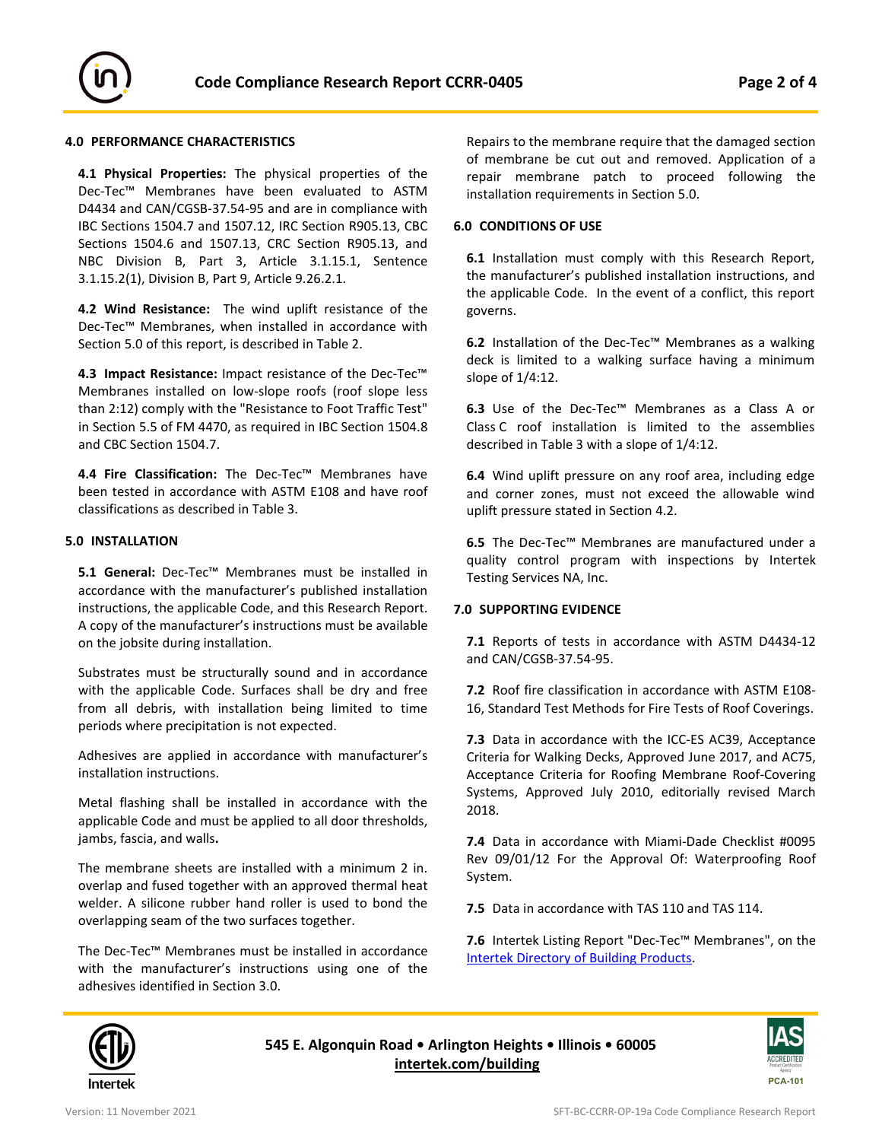

# **4.0 PERFORMANCE CHARACTERISTICS**

**4.1 Physical Properties:** The physical properties of the Dec-Tec™ Membranes have been evaluated to ASTM D4434 and CAN/CGSB-37.54-95 and are in compliance with IBC Sections 1504.7 and 1507.12, IRC Section R905.13, CBC Sections 1504.6 and 1507.13, CRC Section R905.13, and NBC Division B, Part 3, Article 3.1.15.1, Sentence 3.1.15.2(1), Division B, Part 9, Article 9.26.2.1.

**4.2 Wind Resistance:** The wind uplift resistance of the Dec-Tec™ Membranes, when installed in accordance with Section 5.0 of this report, is described in Table 2.

**4.3 Impact Resistance:** Impact resistance of the Dec-Tec™ Membranes installed on low-slope roofs (roof slope less than 2:12) comply with the "Resistance to Foot Traffic Test" in Section 5.5 of FM 4470, as required in IBC Section 1504.8 and CBC Section 1504.7.

**4.4 Fire Classification:** The Dec-Tec™ Membranes have been tested in accordance with ASTM E108 and have roof classifications as described in Table 3.

## **5.0 INSTALLATION**

**5.1 General:** Dec-Tec™ Membranes must be installed in accordance with the manufacturer's published installation instructions, the applicable Code, and this Research Report. A copy of the manufacturer's instructions must be available on the jobsite during installation.

Substrates must be structurally sound and in accordance with the applicable Code. Surfaces shall be dry and free from all debris, with installation being limited to time periods where precipitation is not expected.

Adhesives are applied in accordance with manufacturer's installation instructions.

Metal flashing shall be installed in accordance with the applicable Code and must be applied to all door thresholds, jambs, fascia, and walls**.**

The membrane sheets are installed with a minimum 2 in. overlap and fused together with an approved thermal heat welder. A silicone rubber hand roller is used to bond the overlapping seam of the two surfaces together.

The Dec-Tec™ Membranes must be installed in accordance with the manufacturer's instructions using one of the adhesives identified in Section 3.0.

Repairs to the membrane require that the damaged section of membrane be cut out and removed. Application of a repair membrane patch to proceed following the installation requirements in Section 5.0.

## **6.0 CONDITIONS OF USE**

**6.1** Installation must comply with this Research Report, the manufacturer's published installation instructions, and the applicable Code. In the event of a conflict, this report governs.

**6.2** Installation of the Dec-Tec™ Membranes as a walking deck is limited to a walking surface having a minimum slope of 1/4:12.

**6.3** Use of the Dec-Tec™ Membranes as a Class A or Class C roof installation is limited to the assemblies described in Table 3 with a slope of 1/4:12.

**6.4** Wind uplift pressure on any roof area, including edge and corner zones, must not exceed the allowable wind uplift pressure stated in Section 4.2.

**6.5** The Dec-Tec™ Membranes are manufactured under a quality control program with inspections by Intertek Testing Services NA, Inc.

#### **7.0 SUPPORTING EVIDENCE**

**7.1** Reports of tests in accordance with ASTM D4434-12 and CAN/CGSB-37.54-95.

**7.2** Roof fire classification in accordance with ASTM E108- 16, Standard Test Methods for Fire Tests of Roof Coverings.

**7.3** Data in accordance with the ICC-ES AC39, Acceptance Criteria for Walking Decks, Approved June 2017, and AC75, Acceptance Criteria for Roofing Membrane Roof-Covering Systems, Approved July 2010, editorially revised March 2018.

**7.4** Data in accordance with Miami-Dade Checklist #0095 Rev 09/01/12 For the Approval Of: Waterproofing Roof System.

**7.5** Data in accordance with TAS 110 and TAS 114.

**7.6** Intertek Listing Report "Dec-Tec™ Membranes", on the [Intertek Directory of Building Products.](https://bpdirectory.intertek.com/pages/DLP_SearchDetail.aspx?SpecID=61317) 



**545 E. Algonquin Road • Arlington Heights • Illinois • 60005 [intertek.com/building](http://www.intertek.com/building/)**

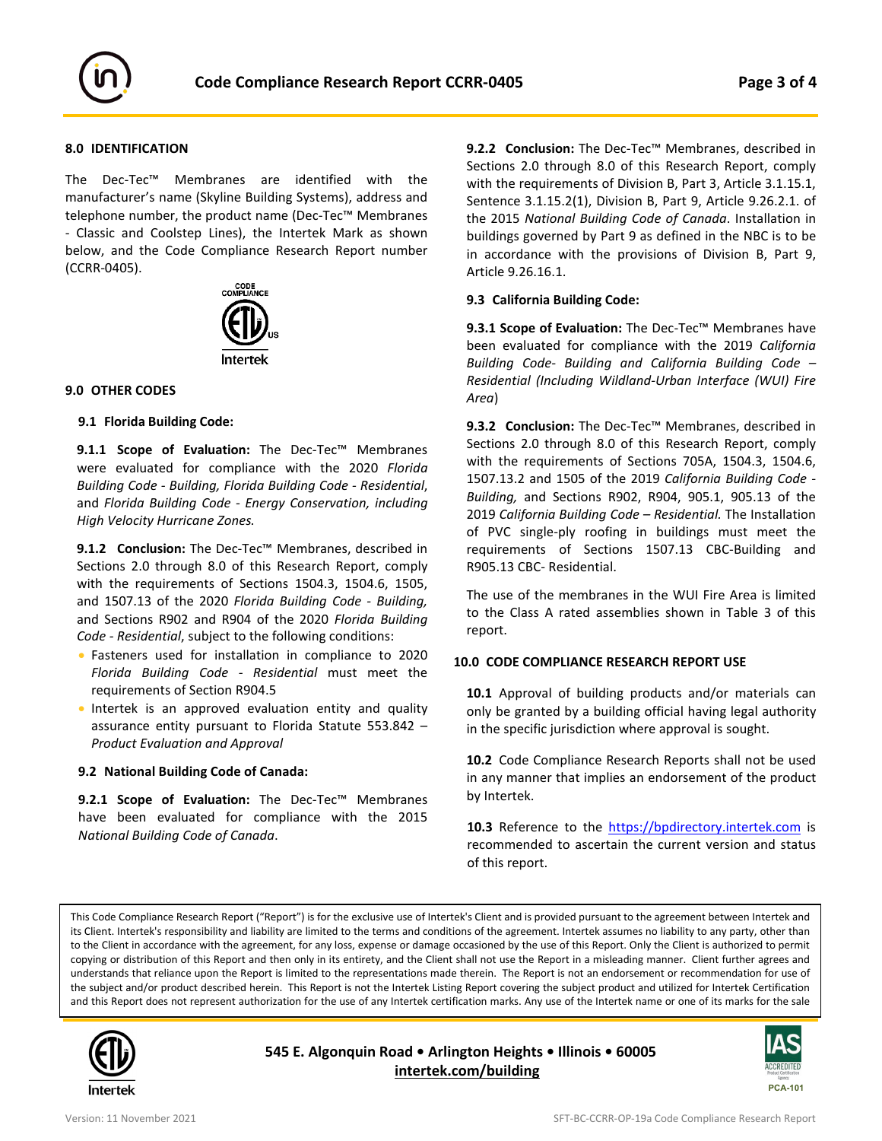

## **8.0 IDENTIFICATION**

The Dec-Tec™ Membranes are identified with the manufacturer's name (Skyline Building Systems), address and telephone number, the product name (Dec-Tec™ Membranes - Classic and Coolstep Lines), the Intertek Mark as shown below, and the Code Compliance Research Report number (CCRR-0405).



## **9.0 OTHER CODES**

#### **9.1 Florida Building Code:**

**9.1.1 Scope of Evaluation:** The Dec-Tec™ Membranes were evaluated for compliance with the 2020 *Florida Building Code - Building, Florida Building Code - Residential*, and *Florida Building Code - Energy Conservation, including High Velocity Hurricane Zones.*

**9.1.2 Conclusion:** The Dec-Tec™ Membranes, described in Sections 2.0 through 8.0 of this Research Report, comply with the requirements of Sections 1504.3, 1504.6, 1505, and 1507.13 of the 2020 *Florida Building Code - Building,* and Sections R902 and R904 of the 2020 *Florida Building Code - Residential*, subject to the following conditions:

- Fasteners used for installation in compliance to 2020 *Florida Building Code - Residential* must meet the requirements of Section R904.5
- Intertek is an approved evaluation entity and quality assurance entity pursuant to Florida Statute 553.842 – *Product Evaluation and Approval*

#### **9.2 National Building Code of Canada:**

**9.2.1 Scope of Evaluation:** The Dec-Tec™ Membranes have been evaluated for compliance with the 2015 *National Building Code of Canada*.

**9.2.2 Conclusion:** The Dec-Tec™ Membranes, described in Sections 2.0 through 8.0 of this Research Report, comply with the requirements of Division B, Part 3, Article 3.1.15.1, Sentence 3.1.15.2(1), Division B, Part 9, Article 9.26.2.1. of the 2015 *National Building Code of Canada*. Installation in buildings governed by Part 9 as defined in the NBC is to be in accordance with the provisions of Division B, Part 9, Article 9.26.16.1.

#### **9.3 California Building Code:**

**9.3.1 Scope of Evaluation:** The Dec-Tec™ Membranes have been evaluated for compliance with the 2019 *California Building Code- Building and California Building Code – Residential (Including Wildland-Urban Interface (WUI) Fire Area*)

**9.3.2 Conclusion:** The Dec-Tec™ Membranes, described in Sections 2.0 through 8.0 of this Research Report, comply with the requirements of Sections 705A, 1504.3, 1504.6, 1507.13.2 and 1505 of the 2019 *California Building Code - Building,* and Sections R902, R904, 905.1, 905.13 of the 2019 *California Building Code – Residential.* The Installation of PVC single-ply roofing in buildings must meet the requirements of Sections 1507.13 CBC-Building and R905.13 CBC- Residential.

The use of the membranes in the WUI Fire Area is limited to the Class A rated assemblies shown in Table 3 of this report.

#### **10.0 CODE COMPLIANCE RESEARCH REPORT USE**

**10.1** Approval of building products and/or materials can only be granted by a building official having legal authority in the specific jurisdiction where approval is sought.

**10.2** Code Compliance Research Reports shall not be used in any manner that implies an endorsement of the product by Intertek.

10.3 Reference to the [https://bpdirectory.intertek.com](https://bpdirectory.intertek.com/pages/DLP_SearchDetail.aspx?SpecID=61317) is recommended to ascertain the current version and status of this report.

This Code Compliance Research Report ("Report") is for the exclusive use of Intertek's Client and is provided pursuant to the agreement between Intertek and its Client. Intertek's responsibility and liability are limited to the terms and conditions of the agreement. Intertek assumes no liability to any party, other than to the Client in accordance with the agreement, for any loss, expense or damage occasioned by the use of this Report. Only the Client is authorized to permit copying or distribution of this Report and then only in its entirety, and the Client shall not use the Report in a misleading manner. Client further agrees and understands that reliance upon the Report is limited to the representations made therein. The Report is not an endorsement or recommendation for use of the subject and/or product described herein. This Report is not the Intertek Listing Report covering the subject product and utilized for Intertek Certification and this Report does not represent authorization for the use of any Intertek certification marks. Any use of the Intertek name or one of its marks for the sale



j

**545 E. Algonquin Road • Arlington Heights • Illinois • 60005 [intertek.com/building](http://www.intertek.com/building/)**